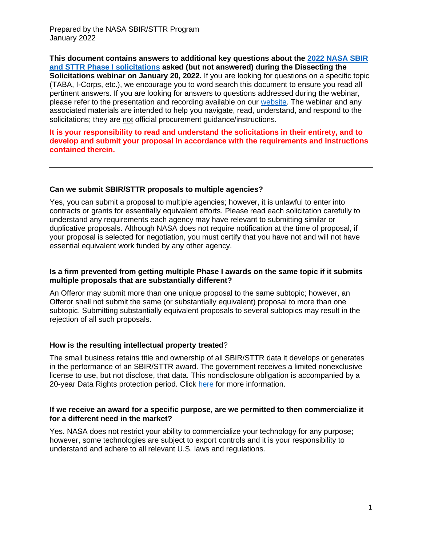**This document contains answers to additional key questions about the [2022 NASA SBIR](https://sbir.nasa.gov/solicitations)  [and STTR Phase I solicitations](https://sbir.nasa.gov/solicitations) asked (but not answered) during the Dissecting the Solicitations webinar on January 20, 2022.** If you are looking for questions on a specific topic (TABA, I-Corps, etc.), we encourage you to word search this document to ensure you read all pertinent answers. If you are looking for answers to questions addressed during the webinar, please refer to the presentation and recording available on our [website.](https://sbir.nasa.gov/dissectingthesolicitations2022) The webinar and any associated materials are intended to help you navigate, read, understand, and respond to the solicitations; they are not official procurement guidance/instructions.

#### **It is your responsibility to read and understand the solicitations in their entirety, and to develop and submit your proposal in accordance with the requirements and instructions contained therein.**

# **Can we submit SBIR/STTR proposals to multiple agencies?**

Yes, you can submit a proposal to multiple agencies; however, it is unlawful to enter into contracts or grants for essentially equivalent efforts. Please read each solicitation carefully to understand any requirements each agency may have relevant to submitting similar or duplicative proposals. Although NASA does not require notification at the time of proposal, if your proposal is selected for negotiation, you must certify that you have not and will not have essential equivalent work funded by any other agency.

## **Is a firm prevented from getting multiple Phase I awards on the same topic if it submits multiple proposals that are substantially different?**

An Offeror may submit more than one unique proposal to the same subtopic; however, an Offeror shall not submit the same (or substantially equivalent) proposal to more than one subtopic. Submitting substantially equivalent proposals to several subtopics may result in the rejection of all such proposals.

## **How is the resulting intellectual property treated**?

The small business retains title and ownership of all SBIR/STTR data it develops or generates in the performance of an SBIR/STTR award. The government receives a limited nonexclusive license to use, but not disclose, that data. This nondisclosure obligation is accompanied by a 20-year Data Rights protection period. Click [here](https://www.sbir.gov/tutorials/data-rights/tutorial-2) for more information.

#### **If we receive an award for a specific purpose, are we permitted to then commercialize it for a different need in the market?**

Yes. NASA does not restrict your ability to commercialize your technology for any purpose; however, some technologies are subject to export controls and it is your responsibility to understand and adhere to all relevant U.S. laws and regulations.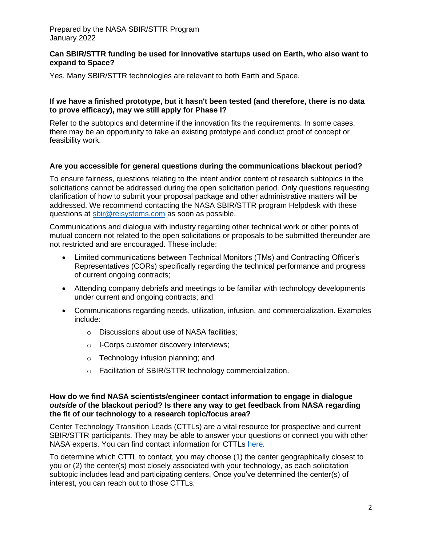## **Can SBIR/STTR funding be used for innovative startups used on Earth, who also want to expand to Space?**

Yes. Many SBIR/STTR technologies are relevant to both Earth and Space.

## **If we have a finished prototype, but it hasn't been tested (and therefore, there is no data to prove efficacy), may we still apply for Phase I?**

Refer to the subtopics and determine if the innovation fits the requirements. In some cases, there may be an opportunity to take an existing prototype and conduct proof of concept or feasibility work.

## **Are you accessible for general questions during the communications blackout period?**

To ensure fairness, questions relating to the intent and/or content of research subtopics in the solicitations cannot be addressed during the open solicitation period. Only questions requesting clarification of how to submit your proposal package and other administrative matters will be addressed. We recommend contacting the NASA SBIR/STTR program Helpdesk with these questions at [sbir@reisystems.com](mailto:sbir@reisystems.com) as soon as possible.

Communications and dialogue with industry regarding other technical work or other points of mutual concern not related to the open solicitations or proposals to be submitted thereunder are not restricted and are encouraged. These include:

- Limited communications between Technical Monitors (TMs) and Contracting Officer's Representatives (CORs) specifically regarding the technical performance and progress of current ongoing contracts;
- Attending company debriefs and meetings to be familiar with technology developments under current and ongoing contracts; and
- Communications regarding needs, utilization, infusion, and commercialization. Examples include:
	- o Discussions about use of NASA facilities;
	- o I-Corps customer discovery interviews;
	- o Technology infusion planning; and
	- o Facilitation of SBIR/STTR technology commercialization.

#### **How do we find NASA scientists/engineer contact information to engage in dialogue** *outside of* **the blackout period? Is there any way to get feedback from NASA regarding the fit of our technology to a research topic/focus area?**

Center Technology Transition Leads (CTTLs) are a vital resource for prospective and current SBIR/STTR participants. They may be able to answer your questions or connect you with other NASA experts. You can find contact information for CTTLs [here.](https://reisystemsinc257.sharepoint.com/sites/snt/nasa/sbir/Communications/NASA%20Outreach%20&%20Events/001%20-%20Events/Webinars/Webinar%204/https/sbir.nasa.gov/contacts)

To determine which CTTL to contact, you may choose (1) the center geographically closest to you or (2) the center(s) most closely associated with your technology, as each solicitation subtopic includes lead and participating centers. Once you've determined the center(s) of interest, you can reach out to those CTTLs.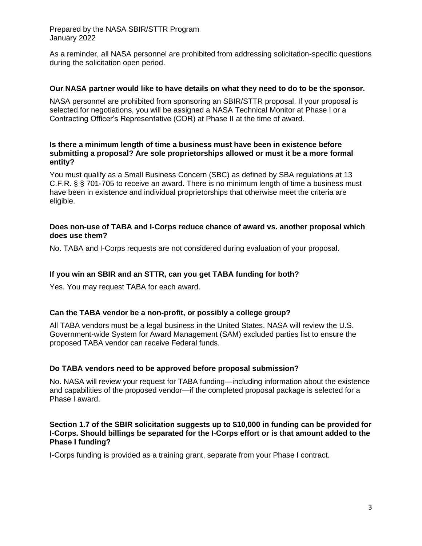As a reminder, all NASA personnel are prohibited from addressing solicitation-specific questions during the solicitation open period.

## **Our NASA partner would like to have details on what they need to do to be the sponsor.**

NASA personnel are prohibited from sponsoring an SBIR/STTR proposal. If your proposal is selected for negotiations, you will be assigned a NASA Technical Monitor at Phase I or a Contracting Officer's Representative (COR) at Phase II at the time of award.

## **Is there a minimum length of time a business must have been in existence before submitting a proposal? Are sole proprietorships allowed or must it be a more formal entity?**

You must qualify as a Small Business Concern (SBC) as defined by SBA regulations at 13 C.F.R. § § 701-705 to receive an award. There is no minimum length of time a business must have been in existence and individual proprietorships that otherwise meet the criteria are eligible.

### **Does non-use of TABA and I-Corps reduce chance of award vs. another proposal which does use them?**

No. TABA and I-Corps requests are not considered during evaluation of your proposal.

# **If you win an SBIR and an STTR, can you get TABA funding for both?**

Yes. You may request TABA for each award.

# **Can the TABA vendor be a non-profit, or possibly a college group?**

All TABA vendors must be a legal business in the United States. NASA will review the U.S. Government-wide System for Award Management (SAM) excluded parties list to ensure the proposed TABA vendor can receive Federal funds.

#### **Do TABA vendors need to be approved before proposal submission?**

No. NASA will review your request for TABA funding—including information about the existence and capabilities of the proposed vendor—if the completed proposal package is selected for a Phase I award.

### **Section 1.7 of the SBIR solicitation suggests up to \$10,000 in funding can be provided for I-Corps. Should billings be separated for the I-Corps effort or is that amount added to the Phase I funding?**

I-Corps funding is provided as a training grant, separate from your Phase I contract.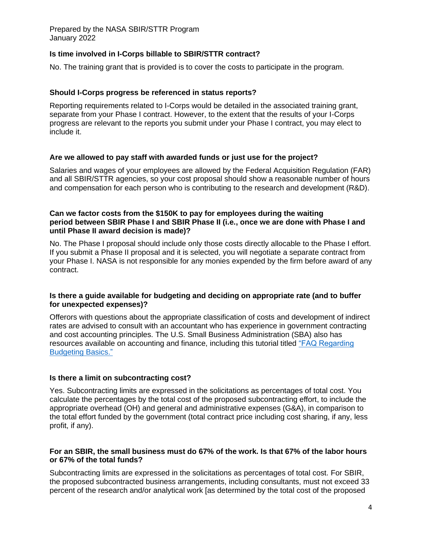# **Is time involved in I-Corps billable to SBIR/STTR contract?**

No. The training grant that is provided is to cover the costs to participate in the program.

## **Should I-Corps progress be referenced in status reports?**

Reporting requirements related to I-Corps would be detailed in the associated training grant, separate from your Phase I contract. However, to the extent that the results of your I-Corps progress are relevant to the reports you submit under your Phase I contract, you may elect to include it.

## **Are we allowed to pay staff with awarded funds or just use for the project?**

Salaries and wages of your employees are allowed by the Federal Acquisition Regulation (FAR) and all SBIR/STTR agencies, so your cost proposal should show a reasonable number of hours and compensation for each person who is contributing to the research and development (R&D).

## **Can we factor costs from the \$150K to pay for employees during the waiting period between SBIR Phase I and SBIR Phase II (i.e., once we are done with Phase I and until Phase II award decision is made)?**

No. The Phase I proposal should include only those costs directly allocable to the Phase I effort. If you submit a Phase II proposal and it is selected, you will negotiate a separate contract from your Phase I. NASA is not responsible for any monies expended by the firm before award of any contract.

## **Is there a guide available for budgeting and deciding on appropriate rate (and to buffer for unexpected expenses)?**

Offerors with questions about the appropriate classification of costs and development of indirect rates are advised to consult with an accountant who has experience in government contracting and cost accounting principles. The U.S. Small Business Administration (SBA) also has resources available on accounting and finance, including this tutorial titled ["FAQ Regarding](https://www.sbir.gov/tutorials/accounting-finance/tutorial-1)  [Budgeting Basics."](https://www.sbir.gov/tutorials/accounting-finance/tutorial-1)

#### **Is there a limit on subcontracting cost?**

Yes. Subcontracting limits are expressed in the solicitations as percentages of total cost. You calculate the percentages by the total cost of the proposed subcontracting effort, to include the appropriate overhead (OH) and general and administrative expenses (G&A), in comparison to the total effort funded by the government (total contract price including cost sharing, if any, less profit, if any).

## **For an SBIR, the small business must do 67% of the work. Is that 67% of the labor hours or 67% of the total funds?**

Subcontracting limits are expressed in the solicitations as percentages of total cost. For SBIR, the proposed subcontracted business arrangements, including consultants, must not exceed 33 percent of the research and/or analytical work [as determined by the total cost of the proposed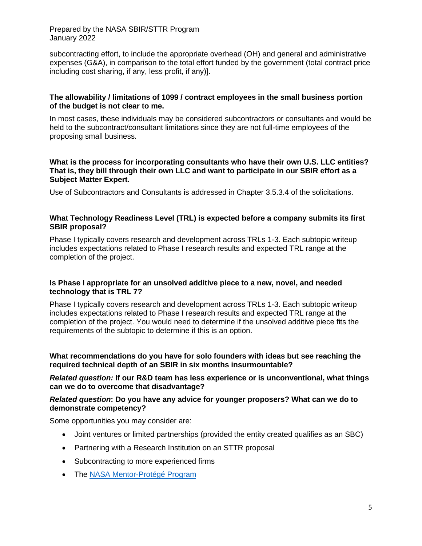subcontracting effort, to include the appropriate overhead (OH) and general and administrative expenses (G&A), in comparison to the total effort funded by the government (total contract price including cost sharing, if any, less profit, if any)].

## **The allowability / limitations of 1099 / contract employees in the small business portion of the budget is not clear to me.**

In most cases, these individuals may be considered subcontractors or consultants and would be held to the subcontract/consultant limitations since they are not full-time employees of the proposing small business.

# **What is the process for incorporating consultants who have their own U.S. LLC entities? That is, they bill through their own LLC and want to participate in our SBIR effort as a Subject Matter Expert.**

Use of Subcontractors and Consultants is addressed in Chapter 3.5.3.4 of the solicitations.

# **What Technology Readiness Level (TRL) is expected before a company submits its first SBIR proposal?**

Phase I typically covers research and development across TRLs 1-3. Each subtopic writeup includes expectations related to Phase I research results and expected TRL range at the completion of the project.

## **Is Phase I appropriate for an unsolved additive piece to a new, novel, and needed technology that is TRL 7?**

Phase I typically covers research and development across TRLs 1-3. Each subtopic writeup includes expectations related to Phase I research results and expected TRL range at the completion of the project. You would need to determine if the unsolved additive piece fits the requirements of the subtopic to determine if this is an option.

**What recommendations do you have for solo founders with ideas but see reaching the required technical depth of an SBIR in six months insurmountable?**

*Related question:* **If our R&D team has less experience or is unconventional, what things can we do to overcome that disadvantage?**

## *Related question***: Do you have any advice for younger proposers? What can we do to demonstrate competency?**

Some opportunities you may consider are:

- Joint ventures or limited partnerships (provided the entity created qualifies as an SBC)
- Partnering with a Research Institution on an STTR proposal
- Subcontracting to more experienced firms
- The [NASA Mentor-Protégé Program](https://www.nasa.gov/osbp/mentor-protege-program.)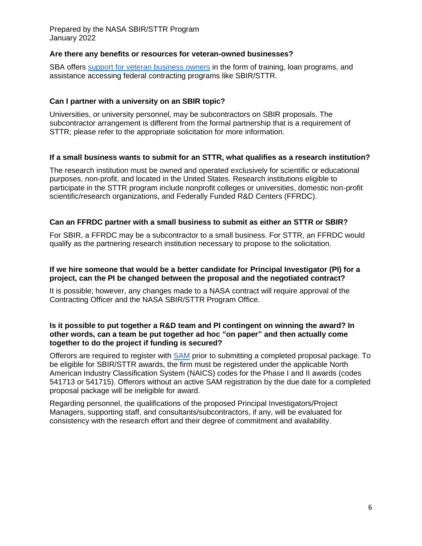# **Are there any benefits or resources for veteran-owned businesses?**

SBA offers [support for veteran](https://www.sba.gov/business-guide/grow-your-business/veteran-owned-businesses.) business owners in the form of training, loan programs, and assistance accessing federal contracting programs like SBIR/STTR.

## **Can I partner with a university on an SBIR topic?**

Universities, or university personnel, may be subcontractors on SBIR proposals. The subcontractor arrangement is different from the formal partnership that is a requirement of STTR; please refer to the appropriate solicitation for more information.

## **If a small business wants to submit for an STTR, what qualifies as a research institution?**

The research institution must be owned and operated exclusively for scientific or educational purposes, non-profit, and located in the United States. Research institutions eligible to participate in the STTR program include nonprofit colleges or universities, domestic non-profit scientific/research organizations, and Federally Funded R&D Centers (FFRDC).

## **Can an FFRDC partner with a small business to submit as either an STTR or SBIR?**

For SBIR, a FFRDC may be a subcontractor to a small business. For STTR, an FFRDC would qualify as the partnering research institution necessary to propose to the solicitation.

## **If we hire someone that would be a better candidate for Principal Investigator (PI) for a project, can the PI be changed between the proposal and the negotiated contract?**

It is possible; however, any changes made to a NASA contract will require approval of the Contracting Officer and the NASA SBIR/STTR Program Office.

#### **Is it possible to put together a R&D team and PI contingent on winning the award? In other words, can a team be put together ad hoc "on paper" and then actually come together to do the project if funding is secured?**

Offerors are required to register with **[SAM](https://sam.gov/content/home)** prior to submitting a completed proposal package. To be eligible for SBIR/STTR awards, the firm must be registered under the applicable North American Industry Classification System (NAICS) codes for the Phase I and II awards (codes 541713 or 541715). Offerors without an active SAM registration by the due date for a completed proposal package will be ineligible for award.

Regarding personnel, the qualifications of the proposed Principal Investigators/Project Managers, supporting staff, and consultants/subcontractors, if any, will be evaluated for consistency with the research effort and their degree of commitment and availability.